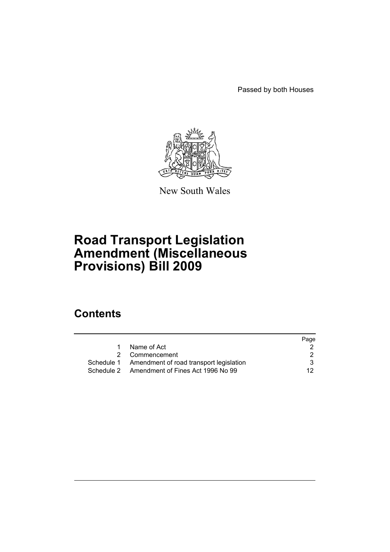Passed by both Houses



New South Wales

# **Road Transport Legislation Amendment (Miscellaneous Provisions) Bill 2009**

# **Contents**

|                                                    | Page |
|----------------------------------------------------|------|
| Name of Act                                        |      |
| 2 Commencement                                     |      |
| Schedule 1 Amendment of road transport legislation | 3    |
| Schedule 2 Amendment of Fines Act 1996 No 99       | 12.  |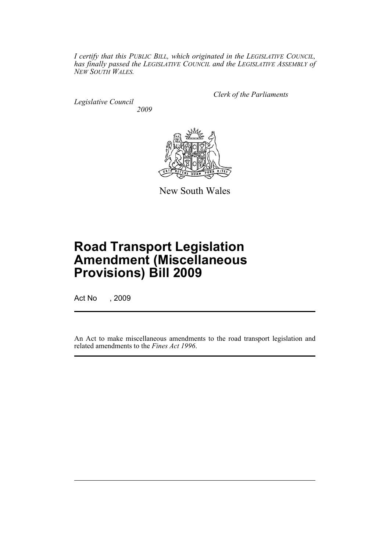*I certify that this PUBLIC BILL, which originated in the LEGISLATIVE COUNCIL, has finally passed the LEGISLATIVE COUNCIL and the LEGISLATIVE ASSEMBLY of NEW SOUTH WALES.*

*Legislative Council 2009* *Clerk of the Parliaments*



New South Wales

# **Road Transport Legislation Amendment (Miscellaneous Provisions) Bill 2009**

Act No , 2009

An Act to make miscellaneous amendments to the road transport legislation and related amendments to the *Fines Act 1996*.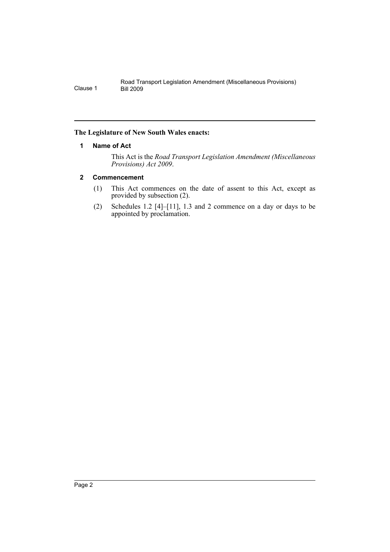# <span id="page-3-0"></span>**The Legislature of New South Wales enacts:**

# **1 Name of Act**

This Act is the *Road Transport Legislation Amendment (Miscellaneous Provisions) Act 2009*.

# <span id="page-3-1"></span>**2 Commencement**

- (1) This Act commences on the date of assent to this Act, except as provided by subsection (2).
- (2) Schedules 1.2 [4]–[11], 1.3 and 2 commence on a day or days to be appointed by proclamation.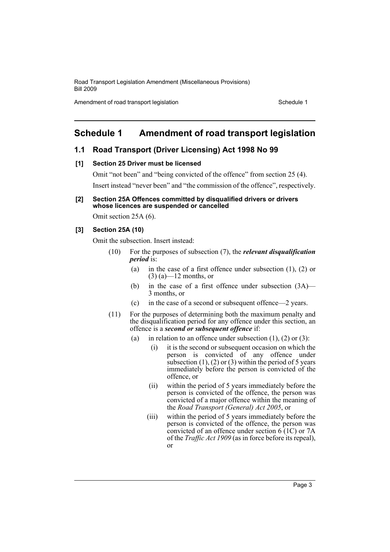Amendment of road transport legislation Schedule 1

# <span id="page-4-0"></span>**Schedule 1 Amendment of road transport legislation**

# **1.1 Road Transport (Driver Licensing) Act 1998 No 99**

#### **[1] Section 25 Driver must be licensed**

Omit "not been" and "being convicted of the offence" from section 25 (4). Insert instead "never been" and "the commission of the offence", respectively.

#### **[2] Section 25A Offences committed by disqualified drivers or drivers whose licences are suspended or cancelled**

Omit section 25A (6).

#### **[3] Section 25A (10)**

Omit the subsection. Insert instead:

- (10) For the purposes of subsection (7), the *relevant disqualification period* is:
	- (a) in the case of a first offence under subsection (1), (2) or  $(3)$  (a)—12 months, or
	- (b) in the case of a first offence under subsection (3A)— 3 months, or
	- (c) in the case of a second or subsequent offence—2 years.
- (11) For the purposes of determining both the maximum penalty and the disqualification period for any offence under this section, an offence is a *second or subsequent offence* if:
	- (a) in relation to an offence under subsection  $(1)$ ,  $(2)$  or  $(3)$ :
		- (i) it is the second or subsequent occasion on which the person is convicted of any offence under subsection  $(1)$ ,  $(2)$  or  $(3)$  within the period of 5 years immediately before the person is convicted of the offence, or
		- (ii) within the period of 5 years immediately before the person is convicted of the offence, the person was convicted of a major offence within the meaning of the *Road Transport (General) Act 2005*, or
		- (iii) within the period of 5 years immediately before the person is convicted of the offence, the person was convicted of an offence under section  $6(1C)$  or 7A of the *Traffic Act 1909* (as in force before its repeal), or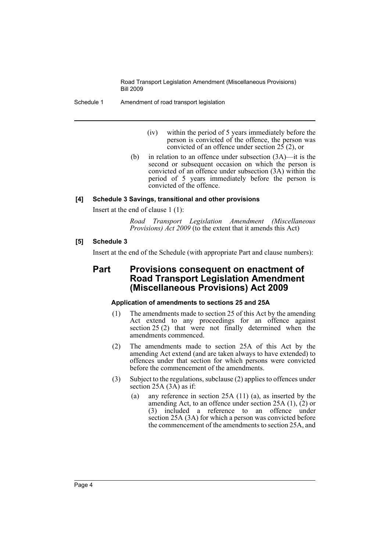Schedule 1 Amendment of road transport legislation

- (iv) within the period of 5 years immediately before the person is convicted of the offence, the person was convicted of an offence under section  $2\overline{5}$  (2), or
- (b) in relation to an offence under subsection (3A)—it is the second or subsequent occasion on which the person is convicted of an offence under subsection (3A) within the period of 5 years immediately before the person is convicted of the offence.

# **[4] Schedule 3 Savings, transitional and other provisions**

Insert at the end of clause 1 (1):

*Road Transport Legislation Amendment (Miscellaneous Provisions) Act 2009* (to the extent that it amends this Act)

# **[5] Schedule 3**

Insert at the end of the Schedule (with appropriate Part and clause numbers):

# **Part Provisions consequent on enactment of Road Transport Legislation Amendment (Miscellaneous Provisions) Act 2009**

# **Application of amendments to sections 25 and 25A**

- (1) The amendments made to section 25 of this Act by the amending Act extend to any proceedings for an offence against section 25 (2) that were not finally determined when the amendments commenced.
- (2) The amendments made to section 25A of this Act by the amending Act extend (and are taken always to have extended) to offences under that section for which persons were convicted before the commencement of the amendments.
- (3) Subject to the regulations, subclause (2) applies to offences under section 25A (3A) as if:
	- (a) any reference in section 25A (11) (a), as inserted by the amending Act, to an offence under section 25A (1), (2) or (3) included a reference to an offence under section 25A (3A) for which a person was convicted before the commencement of the amendments to section 25A, and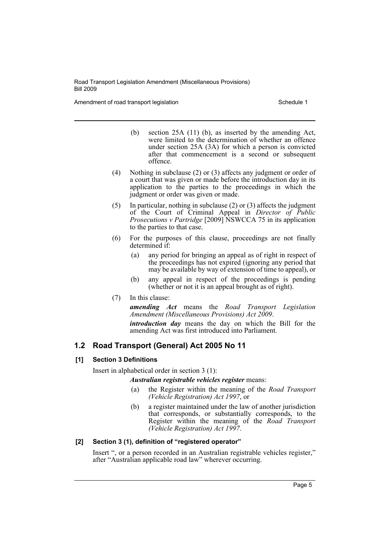Amendment of road transport legislation Schedule 1 Schedule 1

- (b) section 25A (11) (b), as inserted by the amending Act, were limited to the determination of whether an offence under section 25A (3A) for which a person is convicted after that commencement is a second or subsequent offence.
- (4) Nothing in subclause (2) or (3) affects any judgment or order of a court that was given or made before the introduction day in its application to the parties to the proceedings in which the judgment or order was given or made.
- (5) In particular, nothing in subclause (2) or (3) affects the judgment of the Court of Criminal Appeal in *Director of Public Prosecutions v Partridge* [2009] NSWCCA 75 in its application to the parties to that case.
- (6) For the purposes of this clause, proceedings are not finally determined if:
	- (a) any period for bringing an appeal as of right in respect of the proceedings has not expired (ignoring any period that may be available by way of extension of time to appeal), or
	- (b) any appeal in respect of the proceedings is pending (whether or not it is an appeal brought as of right).
- (7) In this clause:

*amending Act* means the *Road Transport Legislation Amendment (Miscellaneous Provisions) Act 2009*.

*introduction day* means the day on which the Bill for the amending Act was first introduced into Parliament.

# **1.2 Road Transport (General) Act 2005 No 11**

# **[1] Section 3 Definitions**

Insert in alphabetical order in section 3 (1):

*Australian registrable vehicles register* means:

- (a) the Register within the meaning of the *Road Transport (Vehicle Registration) Act 1997*, or
- (b) a register maintained under the law of another jurisdiction that corresponds, or substantially corresponds, to the Register within the meaning of the *Road Transport (Vehicle Registration) Act 1997*.

# **[2] Section 3 (1), definition of "registered operator"**

Insert ", or a person recorded in an Australian registrable vehicles register," after "Australian applicable road law" wherever occurring.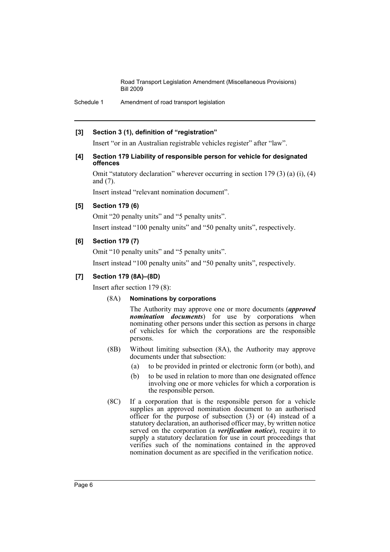Schedule 1 Amendment of road transport legislation

#### **[3] Section 3 (1), definition of "registration"**

Insert "or in an Australian registrable vehicles register" after "law".

#### **[4] Section 179 Liability of responsible person for vehicle for designated offences**

Omit "statutory declaration" wherever occurring in section 179 (3) (a) (i), (4) and (7).

Insert instead "relevant nomination document".

# **[5] Section 179 (6)**

Omit "20 penalty units" and "5 penalty units".

Insert instead "100 penalty units" and "50 penalty units", respectively.

# **[6] Section 179 (7)**

Omit "10 penalty units" and "5 penalty units".

Insert instead "100 penalty units" and "50 penalty units", respectively.

# **[7] Section 179 (8A)–(8D)**

Insert after section 179 (8):

# (8A) **Nominations by corporations**

The Authority may approve one or more documents (*approved nomination documents*) for use by corporations when nominating other persons under this section as persons in charge of vehicles for which the corporations are the responsible persons.

- (8B) Without limiting subsection (8A), the Authority may approve documents under that subsection:
	- (a) to be provided in printed or electronic form (or both), and
	- (b) to be used in relation to more than one designated offence involving one or more vehicles for which a corporation is the responsible person.
- (8C) If a corporation that is the responsible person for a vehicle supplies an approved nomination document to an authorised officer for the purpose of subsection  $(3)$  or  $(4)$  instead of a statutory declaration, an authorised officer may, by written notice served on the corporation (a *verification notice*), require it to supply a statutory declaration for use in court proceedings that verifies such of the nominations contained in the approved nomination document as are specified in the verification notice.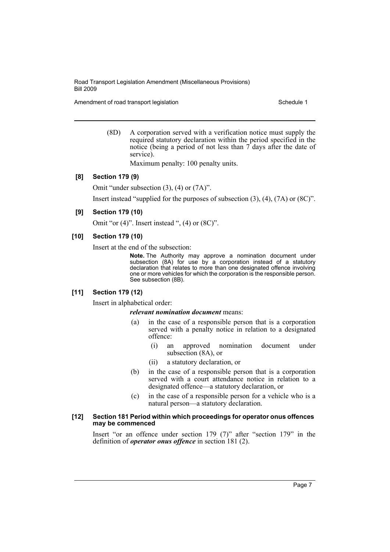Amendment of road transport legislation Schedule 1

(8D) A corporation served with a verification notice must supply the required statutory declaration within the period specified in the notice (being a period of not less than 7 days after the date of service).

Maximum penalty: 100 penalty units.

#### **[8] Section 179 (9)**

Omit "under subsection (3), (4) or (7A)".

Insert instead "supplied for the purposes of subsection (3), (4), (7A) or (8C)".

#### **[9] Section 179 (10)**

Omit "or  $(4)$ ". Insert instead ",  $(4)$  or  $(8C)$ ".

#### **[10] Section 179 (10)**

Insert at the end of the subsection:

**Note.** The Authority may approve a nomination document under subsection (8A) for use by a corporation instead of a statutory declaration that relates to more than one designated offence involving one or more vehicles for which the corporation is the responsible person. See subsection (8B).

#### **[11] Section 179 (12)**

Insert in alphabetical order:

#### *relevant nomination document* means:

- (a) in the case of a responsible person that is a corporation served with a penalty notice in relation to a designated offence:
	- (i) an approved nomination document under subsection (8A), or
	- (ii) a statutory declaration, or
- (b) in the case of a responsible person that is a corporation served with a court attendance notice in relation to a designated offence—a statutory declaration, or
- (c) in the case of a responsible person for a vehicle who is a natural person—a statutory declaration.

#### **[12] Section 181 Period within which proceedings for operator onus offences may be commenced**

Insert "or an offence under section 179 (7)" after "section 179" in the definition of *operator onus offence* in section 181 (2).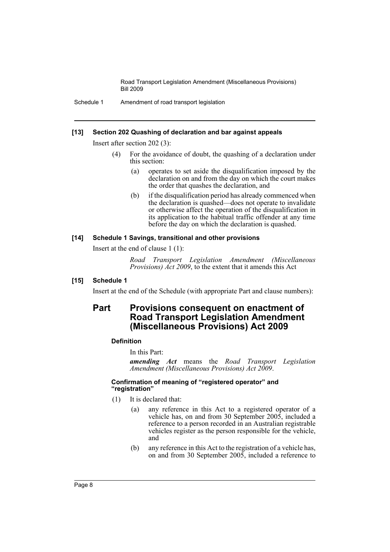Schedule 1 Amendment of road transport legislation

#### **[13] Section 202 Quashing of declaration and bar against appeals**

Insert after section 202 (3):

- (4) For the avoidance of doubt, the quashing of a declaration under this section:
	- (a) operates to set aside the disqualification imposed by the declaration on and from the day on which the court makes the order that quashes the declaration, and
	- (b) if the disqualification period has already commenced when the declaration is quashed—does not operate to invalidate or otherwise affect the operation of the disqualification in its application to the habitual traffic offender at any time before the day on which the declaration is quashed.

#### **[14] Schedule 1 Savings, transitional and other provisions**

Insert at the end of clause 1 (1):

*Road Transport Legislation Amendment (Miscellaneous Provisions) Act 2009*, to the extent that it amends this Act

# **[15] Schedule 1**

Insert at the end of the Schedule (with appropriate Part and clause numbers):

# **Part Provisions consequent on enactment of Road Transport Legislation Amendment (Miscellaneous Provisions) Act 2009**

# **Definition**

In this Part:

*amending Act* means the *Road Transport Legislation Amendment (Miscellaneous Provisions) Act 2009*.

#### **Confirmation of meaning of "registered operator" and "registration"**

- (1) It is declared that:
	- (a) any reference in this Act to a registered operator of a vehicle has, on and from 30 September 2005, included a reference to a person recorded in an Australian registrable vehicles register as the person responsible for the vehicle, and
	- (b) any reference in this Act to the registration of a vehicle has, on and from 30 September 2005, included a reference to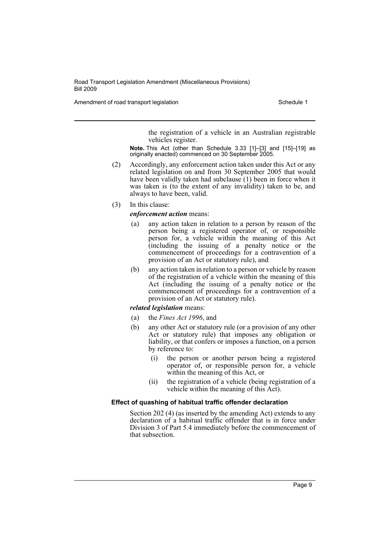Amendment of road transport legislation Schedule 1 Schedule 1

the registration of a vehicle in an Australian registrable vehicles register.

**Note.** This Act (other than Schedule 3.33 [1]–[3] and [15]–[19] as originally enacted) commenced on 30 September 2005.

- (2) Accordingly, any enforcement action taken under this Act or any related legislation on and from 30 September 2005 that would have been validly taken had subclause  $(1)$  been in force when it was taken is (to the extent of any invalidity) taken to be, and always to have been, valid.
- (3) In this clause:

*enforcement action* means:

- (a) any action taken in relation to a person by reason of the person being a registered operator of, or responsible person for, a vehicle within the meaning of this Act (including the issuing of a penalty notice or the commencement of proceedings for a contravention of a provision of an Act or statutory rule), and
- (b) any action taken in relation to a person or vehicle by reason of the registration of a vehicle within the meaning of this Act (including the issuing of a penalty notice or the commencement of proceedings for a contravention of a provision of an Act or statutory rule).

*related legislation* means:

- (a) the *Fines Act 1996*, and
- (b) any other Act or statutory rule (or a provision of any other Act or statutory rule) that imposes any obligation or liability, or that confers or imposes a function, on a person by reference to:
	- (i) the person or another person being a registered operator of, or responsible person for, a vehicle within the meaning of this Act, or
	- (ii) the registration of a vehicle (being registration of a vehicle within the meaning of this Act).

#### **Effect of quashing of habitual traffic offender declaration**

Section 202 (4) (as inserted by the amending Act) extends to any declaration of a habitual traffic offender that is in force under Division 3 of Part 5.4 immediately before the commencement of that subsection.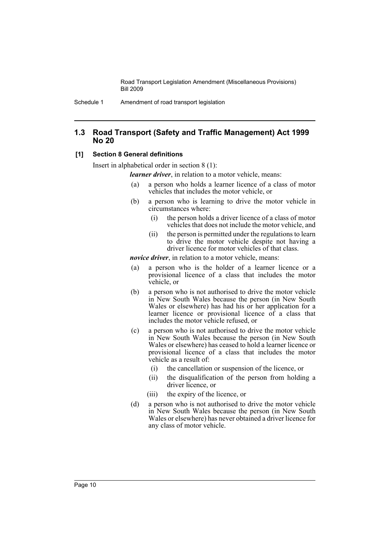# **1.3 Road Transport (Safety and Traffic Management) Act 1999 No 20**

# **[1] Section 8 General definitions**

Insert in alphabetical order in section 8 (1):

*learner driver*, in relation to a motor vehicle, means:

- (a) a person who holds a learner licence of a class of motor vehicles that includes the motor vehicle, or
- (b) a person who is learning to drive the motor vehicle in circumstances where:
	- (i) the person holds a driver licence of a class of motor vehicles that does not include the motor vehicle, and
	- (ii) the person is permitted under the regulations to learn to drive the motor vehicle despite not having a driver licence for motor vehicles of that class.

*novice driver*, in relation to a motor vehicle, means:

- (a) a person who is the holder of a learner licence or a provisional licence of a class that includes the motor vehicle, or
- (b) a person who is not authorised to drive the motor vehicle in New South Wales because the person (in New South Wales or elsewhere) has had his or her application for a learner licence or provisional licence of a class that includes the motor vehicle refused, or
- (c) a person who is not authorised to drive the motor vehicle in New South Wales because the person (in New South Wales or elsewhere) has ceased to hold a learner licence or provisional licence of a class that includes the motor vehicle as a result of:
	- (i) the cancellation or suspension of the licence, or
	- (ii) the disqualification of the person from holding a driver licence, or
	- (iii) the expiry of the licence, or
- (d) a person who is not authorised to drive the motor vehicle in New South Wales because the person (in New South Wales or elsewhere) has never obtained a driver licence for any class of motor vehicle.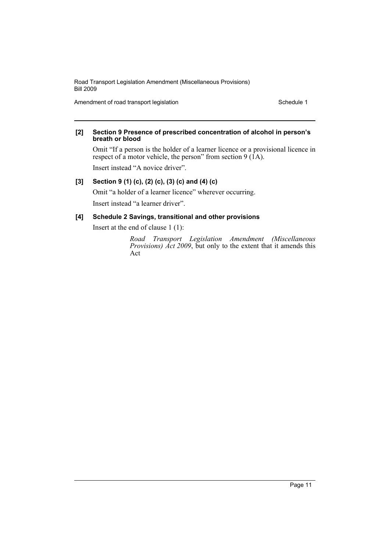Amendment of road transport legislation Schedule 1

#### **[2] Section 9 Presence of prescribed concentration of alcohol in person's breath or blood**

Omit "If a person is the holder of a learner licence or a provisional licence in respect of a motor vehicle, the person" from section  $9(1A)$ .

Insert instead "A novice driver".

# **[3] Section 9 (1) (c), (2) (c), (3) (c) and (4) (c)**

Omit "a holder of a learner licence" wherever occurring.

Insert instead "a learner driver".

# **[4] Schedule 2 Savings, transitional and other provisions**

Insert at the end of clause 1 (1):

*Road Transport Legislation Amendment (Miscellaneous Provisions) Act 2009*, but only to the extent that it amends this Act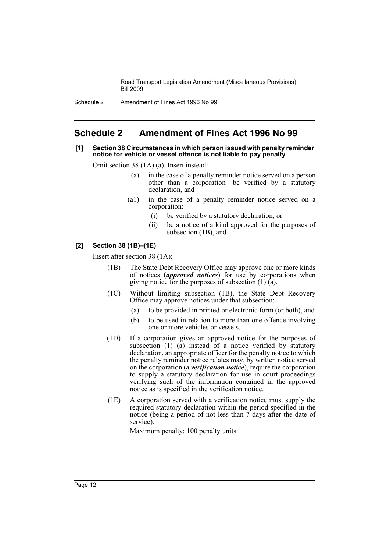Schedule 2 Amendment of Fines Act 1996 No 99

# <span id="page-13-0"></span>**Schedule 2 Amendment of Fines Act 1996 No 99**

#### **[1] Section 38 Circumstances in which person issued with penalty reminder notice for vehicle or vessel offence is not liable to pay penalty**

Omit section 38 (1A) (a). Insert instead:

- (a) in the case of a penalty reminder notice served on a person other than a corporation—be verified by a statutory declaration, and
- (a1) in the case of a penalty reminder notice served on a corporation:
	- (i) be verified by a statutory declaration, or
	- (ii) be a notice of a kind approved for the purposes of subsection (1B), and

# **[2] Section 38 (1B)–(1E)**

Insert after section 38 (1A):

- (1B) The State Debt Recovery Office may approve one or more kinds of notices (*approved notices*) for use by corporations when giving notice for the purposes of subsection  $(1)$   $(a)$ .
- (1C) Without limiting subsection (1B), the State Debt Recovery Office may approve notices under that subsection:
	- (a) to be provided in printed or electronic form (or both), and
	- (b) to be used in relation to more than one offence involving one or more vehicles or vessels.
- (1D) If a corporation gives an approved notice for the purposes of subsection (1) (a) instead of a notice verified by statutory declaration, an appropriate officer for the penalty notice to which the penalty reminder notice relates may, by written notice served on the corporation (a *verification notice*), require the corporation to supply a statutory declaration for use in court proceedings verifying such of the information contained in the approved notice as is specified in the verification notice.
- (1E) A corporation served with a verification notice must supply the required statutory declaration within the period specified in the notice (being a period of not less than 7 days after the date of service).

Maximum penalty: 100 penalty units.